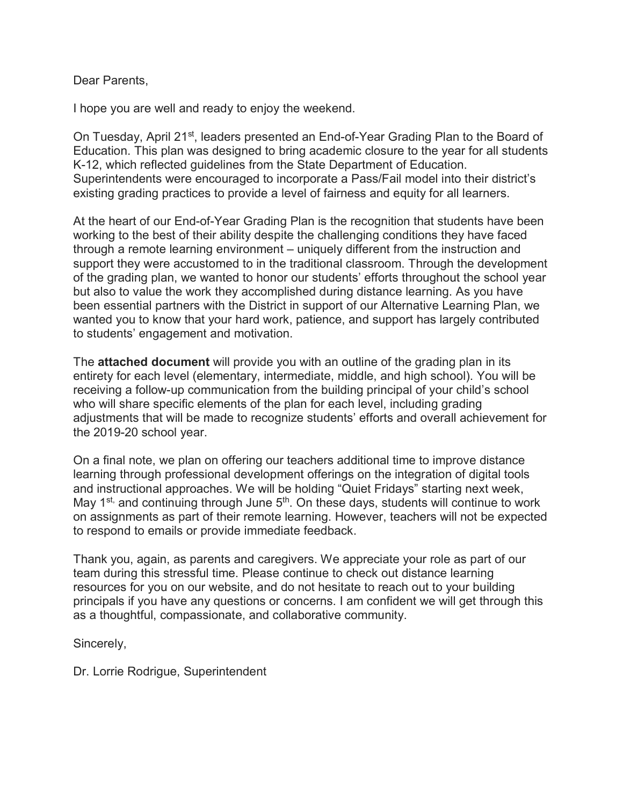Dear Parents,

I hope you are well and ready to enjoy the weekend.

On Tuesday, April 21<sup>st</sup>, leaders presented an End-of-Year Grading Plan to the Board of Education. This plan was designed to bring academic closure to the year for all students K-12, which reflected guidelines from the State Department of Education. Superintendents were encouraged to incorporate a Pass/Fail model into their district's existing grading practices to provide a level of fairness and equity for all learners.

At the heart of our End-of-Year Grading Plan is the recognition that students have been working to the best of their ability despite the challenging conditions they have faced through a remote learning environment – uniquely different from the instruction and support they were accustomed to in the traditional classroom. Through the development of the grading plan, we wanted to honor our students' efforts throughout the school year but also to value the work they accomplished during distance learning. As you have been essential partners with the District in support of our Alternative Learning Plan, we wanted you to know that your hard work, patience, and support has largely contributed to students' engagement and motivation.

The **attached document** will provide you with an outline of the grading plan in its entirety for each level (elementary, intermediate, middle, and high school). You will be receiving a follow-up communication from the building principal of your child's school who will share specific elements of the plan for each level, including grading adjustments that will be made to recognize students' efforts and overall achievement for the 2019-20 school year.

On a final note, we plan on offering our teachers additional time to improve distance learning through professional development offerings on the integration of digital tools and instructional approaches. We will be holding "Quiet Fridays" starting next week, May  $1^{st}$  and continuing through June  $5^{th}$ . On these days, students will continue to work on assignments as part of their remote learning. However, teachers will not be expected to respond to emails or provide immediate feedback.

Thank you, again, as parents and caregivers. We appreciate your role as part of our team during this stressful time. Please continue to check out distance learning resources for you on our website, and do not hesitate to reach out to your building principals if you have any questions or concerns. I am confident we will get through this as a thoughtful, compassionate, and collaborative community.

Sincerely,

Dr. Lorrie Rodrigue, Superintendent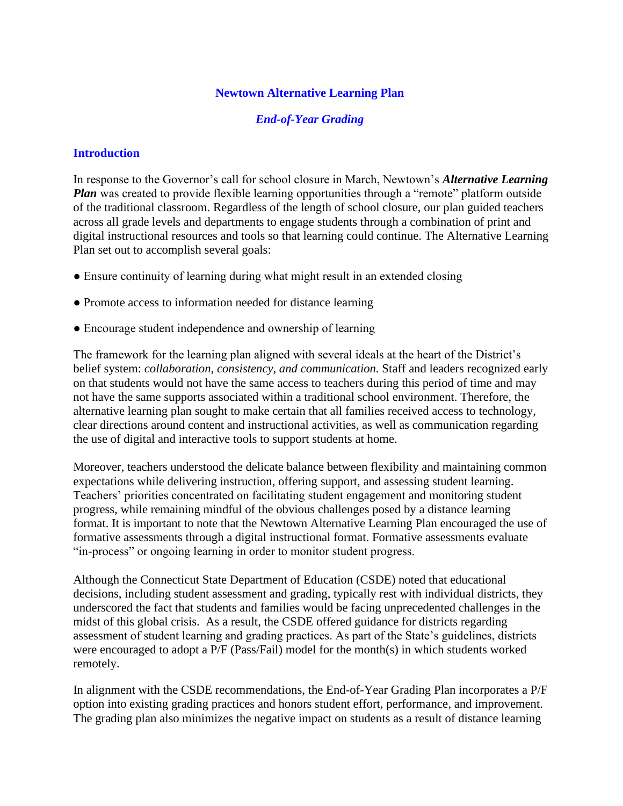### **Newtown Alternative Learning Plan**

#### *End-of-Year Grading*

#### **Introduction**

In response to the Governor's call for school closure in March, Newtown's *Alternative Learning Plan* was created to provide flexible learning opportunities through a "remote" platform outside of the traditional classroom. Regardless of the length of school closure, our plan guided teachers across all grade levels and departments to engage students through a combination of print and digital instructional resources and tools so that learning could continue. The Alternative Learning Plan set out to accomplish several goals:

- Ensure continuity of learning during what might result in an extended closing
- Promote access to information needed for distance learning
- Encourage student independence and ownership of learning

The framework for the learning plan aligned with several ideals at the heart of the District's belief system: *collaboration, consistency, and communication.* Staff and leaders recognized early on that students would not have the same access to teachers during this period of time and may not have the same supports associated within a traditional school environment. Therefore, the alternative learning plan sought to make certain that all families received access to technology, clear directions around content and instructional activities, as well as communication regarding the use of digital and interactive tools to support students at home.

Moreover, teachers understood the delicate balance between flexibility and maintaining common expectations while delivering instruction, offering support, and assessing student learning. Teachers' priorities concentrated on facilitating student engagement and monitoring student progress, while remaining mindful of the obvious challenges posed by a distance learning format. It is important to note that the Newtown Alternative Learning Plan encouraged the use of formative assessments through a digital instructional format. Formative assessments evaluate "in-process" or ongoing learning in order to monitor student progress.

Although the Connecticut State Department of Education (CSDE) noted that educational decisions, including student assessment and grading, typically rest with individual districts, they underscored the fact that students and families would be facing unprecedented challenges in the midst of this global crisis. As a result, the CSDE offered guidance for districts regarding assessment of student learning and grading practices. As part of the State's guidelines, districts were encouraged to adopt a P/F (Pass/Fail) model for the month(s) in which students worked remotely.

In alignment with the CSDE recommendations, the End-of-Year Grading Plan incorporates a P/F option into existing grading practices and honors student effort, performance, and improvement. The grading plan also minimizes the negative impact on students as a result of distance learning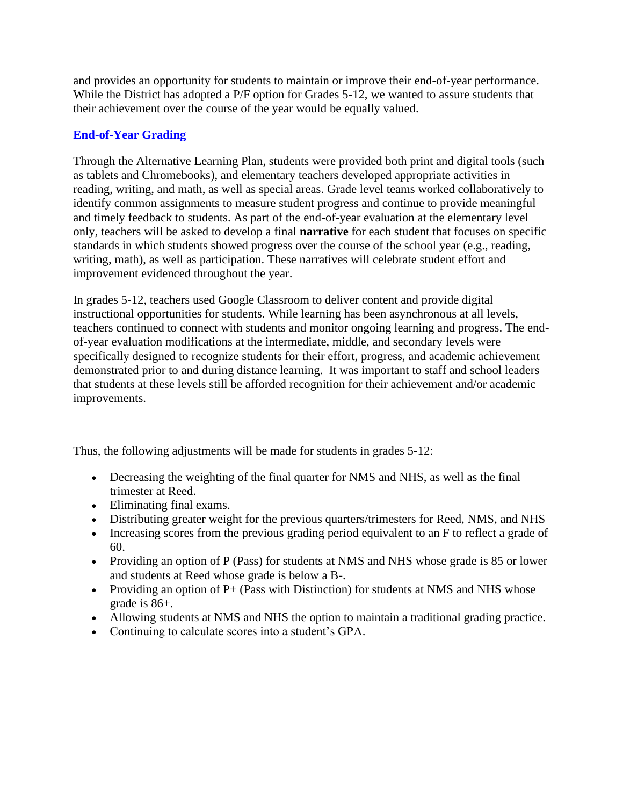and provides an opportunity for students to maintain or improve their end-of-year performance. While the District has adopted a P/F option for Grades 5-12, we wanted to assure students that their achievement over the course of the year would be equally valued.

### **End-of-Year Grading**

Through the Alternative Learning Plan, students were provided both print and digital tools (such as tablets and Chromebooks), and elementary teachers developed appropriate activities in reading, writing, and math, as well as special areas. Grade level teams worked collaboratively to identify common assignments to measure student progress and continue to provide meaningful and timely feedback to students. As part of the end-of-year evaluation at the elementary level only, teachers will be asked to develop a final **narrative** for each student that focuses on specific standards in which students showed progress over the course of the school year (e.g., reading, writing, math), as well as participation. These narratives will celebrate student effort and improvement evidenced throughout the year.

In grades 5-12, teachers used Google Classroom to deliver content and provide digital instructional opportunities for students. While learning has been asynchronous at all levels, teachers continued to connect with students and monitor ongoing learning and progress. The endof-year evaluation modifications at the intermediate, middle, and secondary levels were specifically designed to recognize students for their effort, progress, and academic achievement demonstrated prior to and during distance learning. It was important to staff and school leaders that students at these levels still be afforded recognition for their achievement and/or academic improvements.

Thus, the following adjustments will be made for students in grades 5-12:

- Decreasing the weighting of the final quarter for NMS and NHS, as well as the final trimester at Reed.
- Eliminating final exams.
- Distributing greater weight for the previous quarters/trimesters for Reed, NMS, and NHS
- Increasing scores from the previous grading period equivalent to an F to reflect a grade of 60.
- Providing an option of P (Pass) for students at NMS and NHS whose grade is 85 or lower and students at Reed whose grade is below a B-.
- Providing an option of  $P+$  (Pass with Distinction) for students at NMS and NHS whose grade is 86+.
- Allowing students at NMS and NHS the option to maintain a traditional grading practice.
- Continuing to calculate scores into a student's GPA.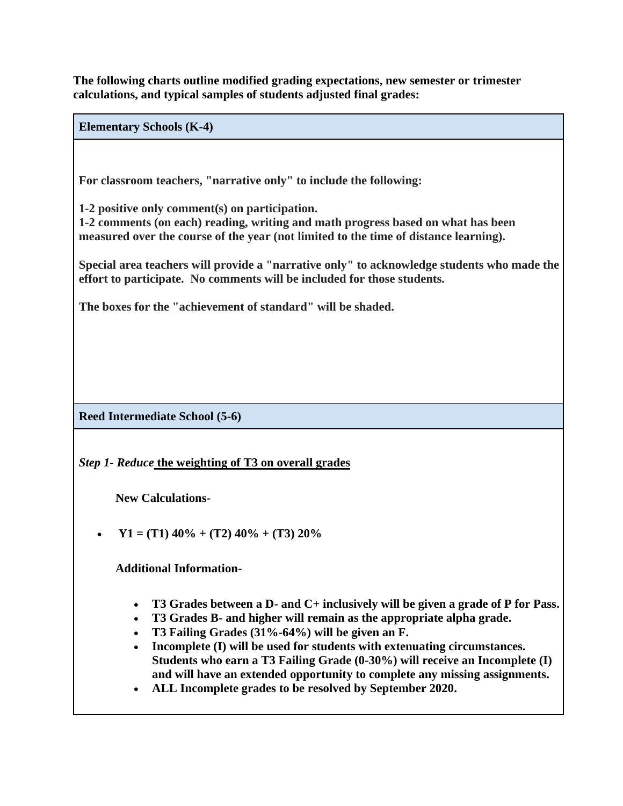**The following charts outline modified grading expectations, new semester or trimester calculations, and typical samples of students adjusted final grades:**

**Elementary Schools (K-4)**

**For classroom teachers, "narrative only" to include the following:**

**1-2 positive only comment(s) on participation.**

**1-2 comments (on each) reading, writing and math progress based on what has been measured over the course of the year (not limited to the time of distance learning).**

**Special area teachers will provide a "narrative only" to acknowledge students who made the effort to participate. No comments will be included for those students.**

**The boxes for the "achievement of standard" will be shaded.** 

**Reed Intermediate School (5-6)**

*Step 1- Reduce* **the weighting of T3 on overall grades**

**New Calculations-** 

 $Y1 = (T1) 40\% + (T2) 40\% + (T3) 20\%$ 

**Additional Information-**

- **T3 Grades between a D- and C+ inclusively will be given a grade of P for Pass.**
- **T3 Grades B- and higher will remain as the appropriate alpha grade.**
- **T3 Failing Grades (31%-64%) will be given an F.**
- **Incomplete (I) will be used for students with extenuating circumstances. Students who earn a T3 Failing Grade (0-30%) will receive an Incomplete (I) and will have an extended opportunity to complete any missing assignments.**
- **ALL Incomplete grades to be resolved by September 2020.**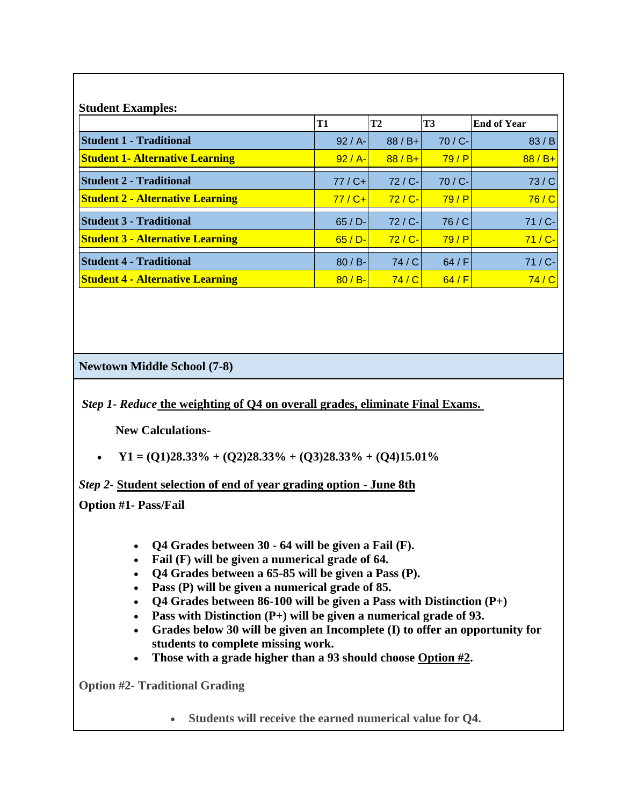| <b>Student Examples:</b>                |            |                        |            |                    |  |
|-----------------------------------------|------------|------------------------|------------|--------------------|--|
|                                         | <b>T1</b>  | <b>T3</b><br><b>T2</b> |            | <b>End of Year</b> |  |
| <b>Student 1 - Traditional</b>          | $92 / A$ - | $88 / B +$             | $70 / C -$ | 83/B               |  |
| <b>Student 1- Alternative Learning</b>  | $92 / A -$ | $88 / B +$             | 79/P       | $88 / B +$         |  |
| <b>Student 2 - Traditional</b>          | $77 / C +$ | $72 / C -$             | 70 / C-    | 73/C               |  |
| <b>Student 2 - Alternative Learning</b> | $77 / C +$ | $72 / C -$             | 79/P       | 76/C               |  |
| <b>Student 3 - Traditional</b>          | $65 / D -$ | $72 / C -$             | 76/C       | 71 / C-            |  |
| <b>Student 3 - Alternative Learning</b> | $65 / D -$ | $72 / C -$             | 79/P       | $71/C -$           |  |
| <b>Student 4 - Traditional</b>          | $80 / B$ - | 74/C                   | 64/F       | $71 / C -$         |  |
| <b>Student 4 - Alternative Learning</b> | $80 / B -$ | 74/C                   | 64/F       | 74 / C             |  |

**Newtown Middle School (7-8)**

*Step 1- Reduce* **the weighting of Q4 on overall grades, eliminate Final Exams.**

**New Calculations-** 

• **Y1** = (Q1)28.33% + (Q2)28.33% + (Q3)28.33% + (Q4)15.01%

*Step 2***- Student selection of end of year grading option - June 8th**

**Option #1- Pass/Fail**

- **Q4 Grades between 30 - 64 will be given a Fail (F).**
- **Fail (F) will be given a numerical grade of 64.**
- **Q4 Grades between a 65-85 will be given a Pass (P).**
- **Pass (P) will be given a numerical grade of 85.**
- **Q4 Grades between 86-100 will be given a Pass with Distinction (P+)**
- **Pass with Distinction (P+) will be given a numerical grade of 93.**
- **Grades below 30 will be given an Incomplete (I) to offer an opportunity for students to complete missing work.**
- **Those with a grade higher than a 93 should choose Option #2.**

**Option #2- Traditional Grading**

• **Students will receive the earned numerical value for Q4.**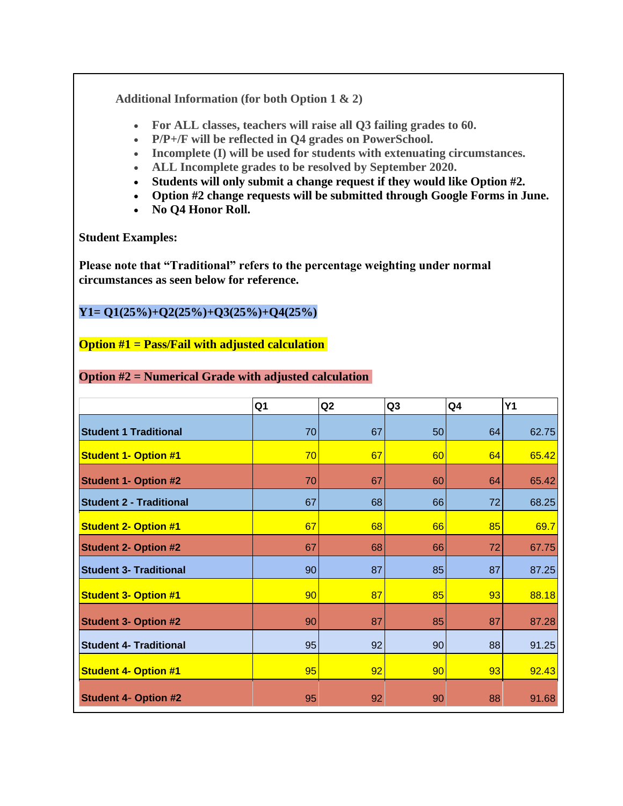**Additional Information (for both Option 1 & 2)**

- **For ALL classes, teachers will raise all Q3 failing grades to 60.**
- **P/P+/F will be reflected in Q4 grades on PowerSchool.**
- **Incomplete (I) will be used for students with extenuating circumstances.**
- **ALL Incomplete grades to be resolved by September 2020.**
- **Students will only submit a change request if they would like Option #2.**
- **Option #2 change requests will be submitted through Google Forms in June.**
- **No Q4 Honor Roll.**

**Student Examples:**

**Please note that "Traditional" refers to the percentage weighting under normal circumstances as seen below for reference.**

## **Y1= Q1(25%)+Q2(25%)+Q3(25%)+Q4(25%)**

## **Option #1 = Pass/Fail with adjusted calculation**

|                                | Q <sub>1</sub> | Q2 | Q <sub>3</sub> | Q <sub>4</sub> | <b>Y1</b> |
|--------------------------------|----------------|----|----------------|----------------|-----------|
|                                |                |    |                |                |           |
| <b>Student 1 Traditional</b>   | 70             | 67 | 50             | 64             | 62.75     |
| <b>Student 1- Option #1</b>    | 70             | 67 | 60             | 64             | 65.42     |
| <b>Student 1- Option #2</b>    | 70             | 67 | 60             | 64             | 65.42     |
| <b>Student 2 - Traditional</b> | 67             | 68 | 66             | 72             | 68.25     |
| <b>Student 2- Option #1</b>    | 67             | 68 | 66             | 85             | 69.7      |
| <b>Student 2- Option #2</b>    | 67             | 68 | 66             | 72             | 67.75     |
| <b>Student 3- Traditional</b>  | 90             | 87 | 85             | 87             | 87.25     |
| <b>Student 3- Option #1</b>    | 90             | 87 | 85             | 93             | 88.18     |
| <b>Student 3- Option #2</b>    | 90             | 87 | 85             | 87             | 87.28     |
| <b>Student 4- Traditional</b>  | 95             | 92 | 90             | 88             | 91.25     |
| <b>Student 4- Option #1</b>    | 95             | 92 | 90             | 93             | 92.43     |
| <b>Student 4- Option #2</b>    | 95             | 92 | 90             | 88             | 91.68     |

### **Option #2 = Numerical Grade with adjusted calculation**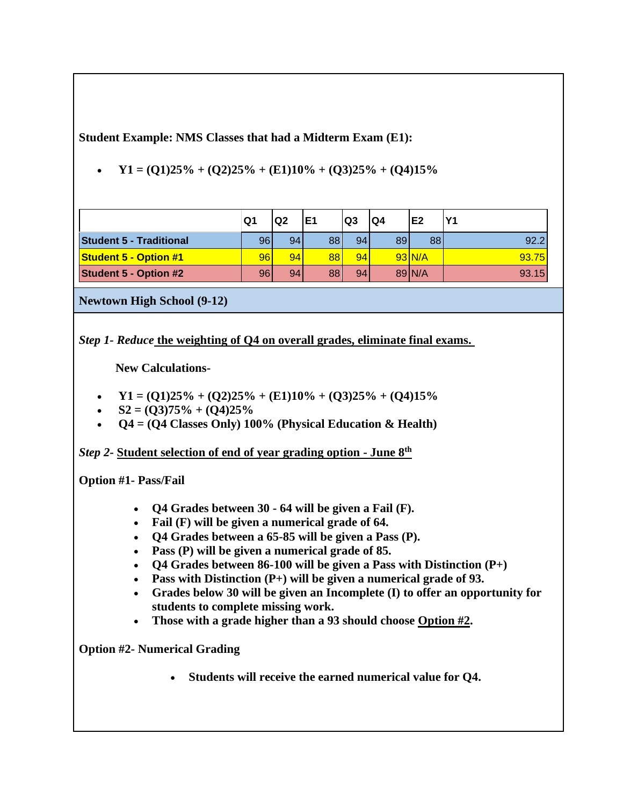**Student Example: NMS Classes that had a Midterm Exam (E1):** 

• **Y1** =  $(Q1)25\% + (Q2)25\% + (E1)10\% + (Q3)25\% + (Q4)15\%$ 

|                                | Q1              | Q <sub>2</sub> | E1 | Q <sub>3</sub> | Q4 | E <sub>2</sub> | lY1   |
|--------------------------------|-----------------|----------------|----|----------------|----|----------------|-------|
| <b>Student 5 - Traditional</b> | 96 <sub>1</sub> | 94             | 88 | 94             | 89 | 88             | 92.2  |
| <b>Student 5 - Option #1</b>   | 96              | 94             | 88 | 94             |    | $93\text{N/A}$ | 93.75 |
| <b>Student 5 - Option #2</b>   | 96              | 94             | 88 | 94             |    | 89 N/A         | 93.15 |

**Newtown High School (9-12)**

*Step 1- Reduce* **the weighting of Q4 on overall grades, eliminate final exams.**

**New Calculations-** 

- $Y1 = (Q1)25\% + (Q2)25\% + (E1)10\% + (Q3)25\% + (Q4)15\%$
- $S2 = (O3)75\% + (O4)25\%$
- **Q4 = (Q4 Classes Only) 100% (Physical Education & Health)**

*Step 2***- Student selection of end of year grading option - June 8th**

**Option #1- Pass/Fail**

- **Q4 Grades between 30 - 64 will be given a Fail (F).**
- **Fail (F) will be given a numerical grade of 64.**
- **Q4 Grades between a 65-85 will be given a Pass (P).**
- **Pass (P) will be given a numerical grade of 85.**
- **Q4 Grades between 86-100 will be given a Pass with Distinction (P+)**
- **Pass with Distinction (P+) will be given a numerical grade of 93.**
- **Grades below 30 will be given an Incomplete (I) to offer an opportunity for students to complete missing work.**
- **Those with a grade higher than a 93 should choose Option #2.**

**Option #2- Numerical Grading**

• **Students will receive the earned numerical value for Q4.**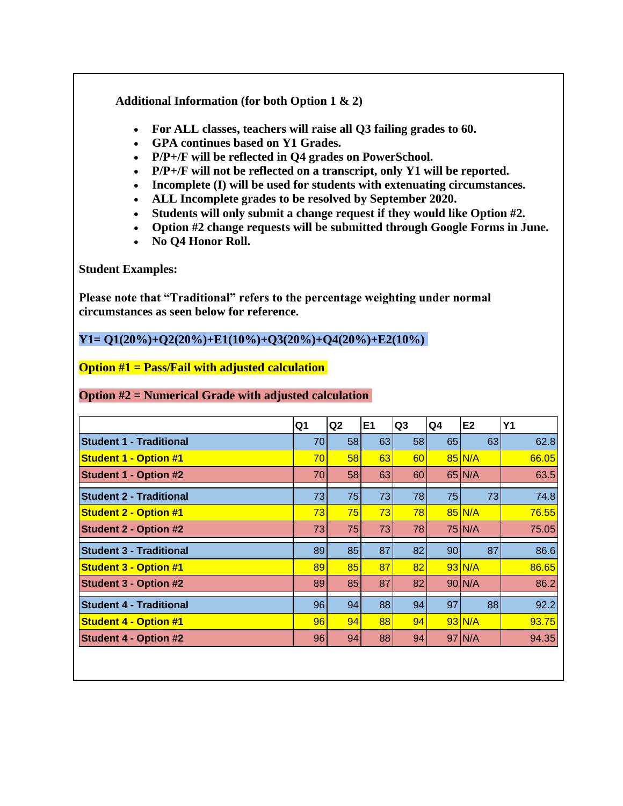**Additional Information (for both Option 1 & 2)**

- **For ALL classes, teachers will raise all Q3 failing grades to 60.**
- **GPA continues based on Y1 Grades.**
- **P/P+/F will be reflected in Q4 grades on PowerSchool.**
- **P/P+/F will not be reflected on a transcript, only Y1 will be reported.**
- **Incomplete (I) will be used for students with extenuating circumstances.**
- **ALL Incomplete grades to be resolved by September 2020.**
- **Students will only submit a change request if they would like Option #2.**
- **Option #2 change requests will be submitted through Google Forms in June.**
- **No Q4 Honor Roll.**

**Student Examples:**

**Please note that "Traditional" refers to the percentage weighting under normal circumstances as seen below for reference.**

**Y1= Q1(20%)+Q2(20%)+E1(10%)+Q3(20%)+Q4(20%)+E2(10%)**

**Option #1 = Pass/Fail with adjusted calculation**

### **Option #2 = Numerical Grade with adjusted calculation**

|                                | Q1              | Q <sub>2</sub>  | E <sub>1</sub> | Q <sub>3</sub> | Q4              | E <sub>2</sub>  | <b>Y1</b> |
|--------------------------------|-----------------|-----------------|----------------|----------------|-----------------|-----------------|-----------|
| <b>Student 1 - Traditional</b> | 70              | 58 <sub>1</sub> | 63             | 58             | 65              | 63              | 62.8      |
| <b>Student 1 - Option #1</b>   | 70              | 58 <sub>1</sub> | 63             | 60             |                 | $85\text{N/A}$  | 66.05     |
| <b>Student 1 - Option #2</b>   | 70              | 58              | 63             | 60             |                 | $65$ N/A        | 63.5      |
| <b>Student 2 - Traditional</b> | 73              | 75              | 73             | 78             | 75              | 73              | 74.8      |
| <b>Student 2 - Option #1</b>   | 73              | 75              | 73             | 78             |                 | $85\vert N/A$   | 76.55     |
| <b>Student 2 - Option #2</b>   | 73              | 75              | 73             | 78             |                 | 75 N/A          | 75.05     |
| <b>Student 3 - Traditional</b> | 89              | 85              | 87             | 82             | 90 <sub>1</sub> | 87              | 86.6      |
| <b>Student 3 - Option #1</b>   | 89              | 85              | 87             | 82             |                 | $93$ N/A        | 86.65     |
| <b>Student 3 - Option #2</b>   | 89              | 85              | 87             | 82             |                 | $90 \text{N/A}$ | 86.2      |
| <b>Student 4 - Traditional</b> | 96 <sub>1</sub> | 94              | 88             | 94             | 97              | 88              | 92.2      |
| <b>Student 4 - Option #1</b>   | 96              | 94              | 88             | 94             |                 | $93$ N/A        | 93.75     |
| <b>Student 4 - Option #2</b>   | 96              | 94              | 88             | 94             |                 | 97 N/A          | 94.35     |